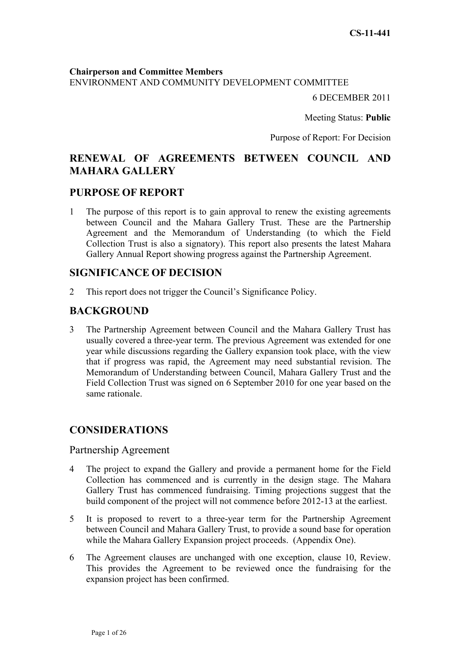**Chairperson and Committee Members** ENVIRONMENT AND COMMUNITY DEVELOPMENT COMMITTEE

6 DECEMBER 2011

Meeting Status: **Public**

Purpose of Report: For Decision

# **RENEWAL OF AGREEMENTS BETWEEN COUNCIL AND MAHARA GALLERY**

## **PURPOSE OF REPORT**

1 The purpose of this report is to gain approval to renew the existing agreements between Council and the Mahara Gallery Trust. These are the Partnership Agreement and the Memorandum of Understanding (to which the Field Collection Trust is also a signatory). This report also presents the latest Mahara Gallery Annual Report showing progress against the Partnership Agreement.

## **SIGNIFICANCE OF DECISION**

2 This report does not trigger the Council's Significance Policy.

## **BACKGROUND**

3 The Partnership Agreement between Council and the Mahara Gallery Trust has usually covered a three-year term. The previous Agreement was extended for one year while discussions regarding the Gallery expansion took place, with the view that if progress was rapid, the Agreement may need substantial revision. The Memorandum of Understanding between Council, Mahara Gallery Trust and the Field Collection Trust was signed on 6 September 2010 for one year based on the same rationale.

# **CONSIDERATIONS**

## Partnership Agreement

- 4 The project to expand the Gallery and provide a permanent home for the Field Collection has commenced and is currently in the design stage. The Mahara Gallery Trust has commenced fundraising. Timing projections suggest that the build component of the project will not commence before 2012-13 at the earliest.
- 5 It is proposed to revert to a three-year term for the Partnership Agreement between Council and Mahara Gallery Trust, to provide a sound base for operation while the Mahara Gallery Expansion project proceeds. (Appendix One).
- 6 The Agreement clauses are unchanged with one exception, clause 10, Review. This provides the Agreement to be reviewed once the fundraising for the expansion project has been confirmed.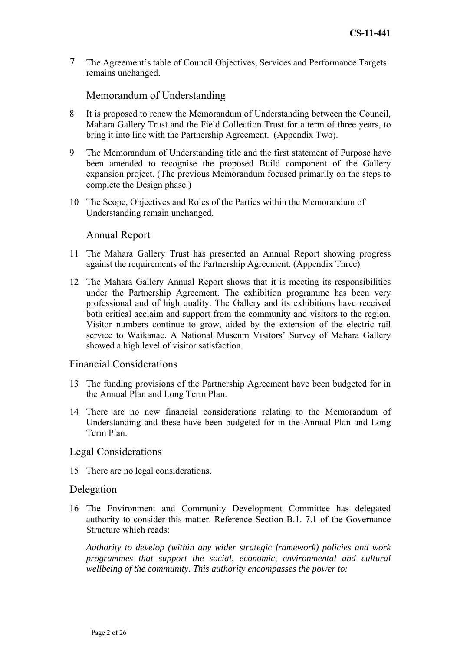7 The Agreement's table of Council Objectives, Services and Performance Targets remains unchanged.

## Memorandum of Understanding

- 8 It is proposed to renew the Memorandum of Understanding between the Council, Mahara Gallery Trust and the Field Collection Trust for a term of three years, to bring it into line with the Partnership Agreement. (Appendix Two).
- 9 The Memorandum of Understanding title and the first statement of Purpose have been amended to recognise the proposed Build component of the Gallery expansion project. (The previous Memorandum focused primarily on the steps to complete the Design phase.)
- 10 The Scope, Objectives and Roles of the Parties within the Memorandum of Understanding remain unchanged.

## Annual Report

- 11 The Mahara Gallery Trust has presented an Annual Report showing progress against the requirements of the Partnership Agreement. (Appendix Three)
- 12 The Mahara Gallery Annual Report shows that it is meeting its responsibilities under the Partnership Agreement. The exhibition programme has been very professional and of high quality. The Gallery and its exhibitions have received both critical acclaim and support from the community and visitors to the region. Visitor numbers continue to grow, aided by the extension of the electric rail service to Waikanae. A National Museum Visitors' Survey of Mahara Gallery showed a high level of visitor satisfaction.

## Financial Considerations

- 13 The funding provisions of the Partnership Agreement have been budgeted for in the Annual Plan and Long Term Plan.
- 14 There are no new financial considerations relating to the Memorandum of Understanding and these have been budgeted for in the Annual Plan and Long Term Plan.

### Legal Considerations

15 There are no legal considerations.

#### Delegation

16 The Environment and Community Development Committee has delegated authority to consider this matter. Reference Section B.1. 7.1 of the Governance Structure which reads:

*Authority to develop (within any wider strategic framework) policies and work programmes that support the social, economic, environmental and cultural wellbeing of the community. This authority encompasses the power to:*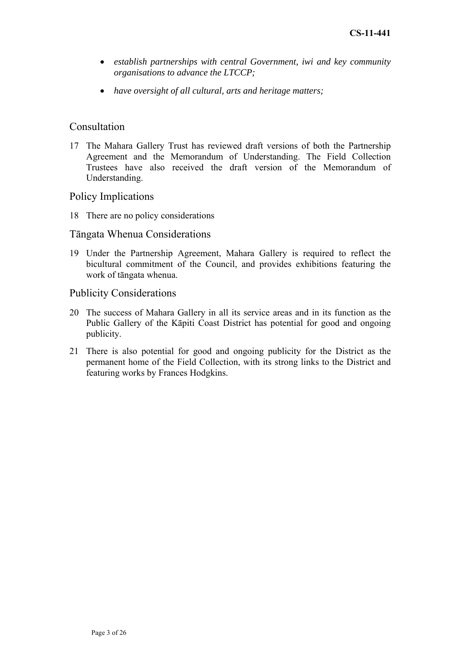- *establish partnerships with central Government, iwi and key community organisations to advance the LTCCP;*
- *have oversight of all cultural, arts and heritage matters;*

## Consultation

17 The Mahara Gallery Trust has reviewed draft versions of both the Partnership Agreement and the Memorandum of Understanding. The Field Collection Trustees have also received the draft version of the Memorandum of Understanding.

## Policy Implications

18 There are no policy considerations

## Tāngata Whenua Considerations

19 Under the Partnership Agreement, Mahara Gallery is required to reflect the bicultural commitment of the Council, and provides exhibitions featuring the work of tāngata whenua.

## Publicity Considerations

- 20 The success of Mahara Gallery in all its service areas and in its function as the Public Gallery of the Kāpiti Coast District has potential for good and ongoing publicity.
- 21 There is also potential for good and ongoing publicity for the District as the permanent home of the Field Collection, with its strong links to the District and featuring works by Frances Hodgkins.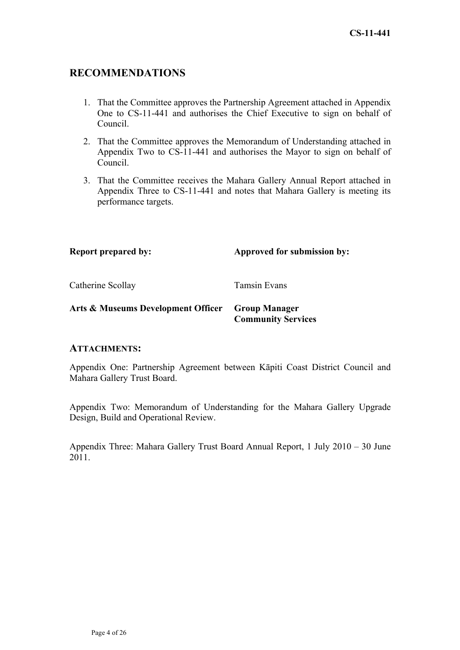# **RECOMMENDATIONS**

- 1. That the Committee approves the Partnership Agreement attached in Appendix One to CS-11-441 and authorises the Chief Executive to sign on behalf of Council.
- 2. That the Committee approves the Memorandum of Understanding attached in Appendix Two to CS-11-441 and authorises the Mayor to sign on behalf of Council.
- 3. That the Committee receives the Mahara Gallery Annual Report attached in Appendix Three to CS-11-441 and notes that Mahara Gallery is meeting its performance targets.

**Report prepared by:** Approved for submission by:

Catherine Scollay Tamsin Evans

## **Arts & Museums Development Officer Group Manager Community Services**

## **ATTACHMENTS:**

Appendix One: Partnership Agreement between Kāpiti Coast District Council and Mahara Gallery Trust Board.

Appendix Two: Memorandum of Understanding for the Mahara Gallery Upgrade Design, Build and Operational Review.

Appendix Three: Mahara Gallery Trust Board Annual Report, 1 July 2010 – 30 June 2011.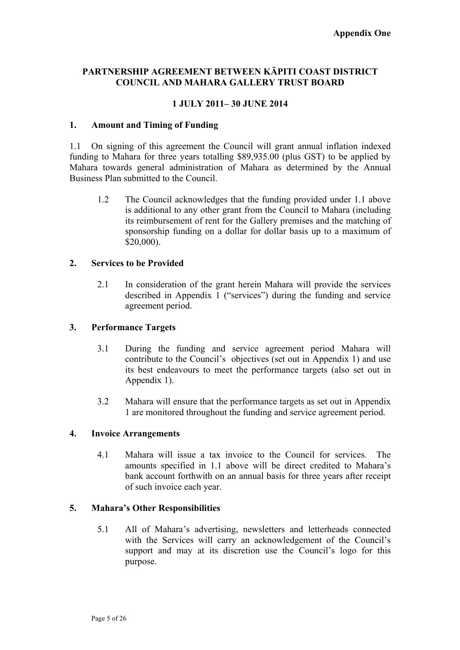## **PARTNERSHIP AGREEMENT BETWEEN KĀPITI COAST DISTRICT COUNCIL AND MAHARA GALLERY TRUST BOARD**

## **1 JULY 2011– 30 JUNE 2014**

#### **1. Amount and Timing of Funding**

1.1 On signing of this agreement the Council will grant annual inflation indexed funding to Mahara for three years totalling \$89,935.00 (plus GST) to be applied by Mahara towards general administration of Mahara as determined by the Annual Business Plan submitted to the Council.

1.2 The Council acknowledges that the funding provided under 1.1 above is additional to any other grant from the Council to Mahara (including its reimbursement of rent for the Gallery premises and the matching of sponsorship funding on a dollar for dollar basis up to a maximum of \$20,000).

#### **2. Services to be Provided**

2.1 In consideration of the grant herein Mahara will provide the services described in Appendix 1 ("services") during the funding and service agreement period.

#### **3. Performance Targets**

- 3.1 During the funding and service agreement period Mahara will contribute to the Council's objectives (set out in Appendix 1) and use its best endeavours to meet the performance targets (also set out in Appendix 1).
- 3.2 Mahara will ensure that the performance targets as set out in Appendix 1 are monitored throughout the funding and service agreement period.

#### **4. Invoice Arrangements**

4.1 Mahara will issue a tax invoice to the Council for services. The amounts specified in 1.1 above will be direct credited to Mahara's bank account forthwith on an annual basis for three years after receipt of such invoice each year.

#### **5. Mahara's Other Responsibilities**

5.1 All of Mahara's advertising, newsletters and letterheads connected with the Services will carry an acknowledgement of the Council's support and may at its discretion use the Council's logo for this purpose.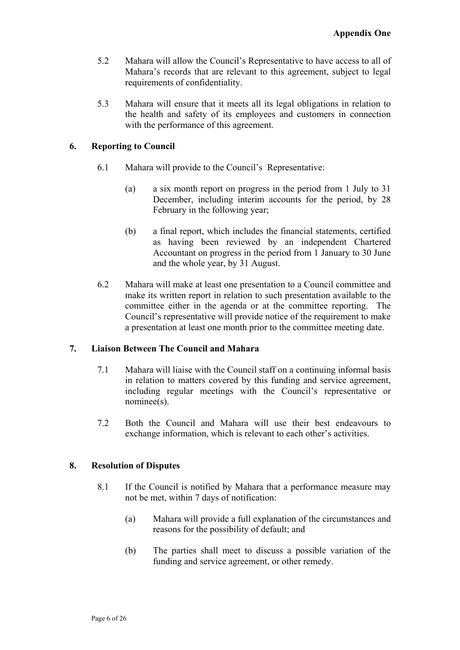- 5.2 Mahara will allow the Council's Representative to have access to all of Mahara's records that are relevant to this agreement, subject to legal requirements of confidentiality.
- 5.3 Mahara will ensure that it meets all its legal obligations in relation to the health and safety of its employees and customers in connection with the performance of this agreement.

## **6. Reporting to Council**

- 6.1 Mahara will provide to the Council's Representative:
	- (a) a six month report on progress in the period from 1 July to 31 December, including interim accounts for the period, by 28 February in the following year;
	- (b) a final report, which includes the financial statements, certified as having been reviewed by an independent Chartered Accountant on progress in the period from 1 January to 30 June and the whole year, by 31 August.
- 6.2 Mahara will make at least one presentation to a Council committee and make its written report in relation to such presentation available to the committee either in the agenda or at the committee reporting. The Council's representative will provide notice of the requirement to make a presentation at least one month prior to the committee meeting date.

## **7. Liaison Between The Council and Mahara**

- 7.1 Mahara will liaise with the Council staff on a continuing informal basis in relation to matters covered by this funding and service agreement, including regular meetings with the Council's representative or nominee(s).
- 7.2 Both the Council and Mahara will use their best endeavours to exchange information, which is relevant to each other's activities.

## **8. Resolution of Disputes**

- 8.1 If the Council is notified by Mahara that a performance measure may not be met, within 7 days of notification:
	- (a) Mahara will provide a full explanation of the circumstances and reasons for the possibility of default; and
	- (b) The parties shall meet to discuss a possible variation of the funding and service agreement, or other remedy.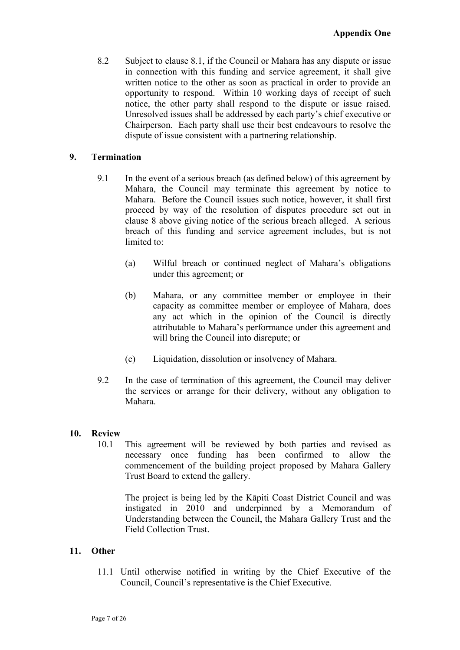8.2 Subject to clause 8.1, if the Council or Mahara has any dispute or issue in connection with this funding and service agreement, it shall give written notice to the other as soon as practical in order to provide an opportunity to respond. Within 10 working days of receipt of such notice, the other party shall respond to the dispute or issue raised. Unresolved issues shall be addressed by each party's chief executive or Chairperson. Each party shall use their best endeavours to resolve the dispute of issue consistent with a partnering relationship.

## **9. Termination**

- 9.1 In the event of a serious breach (as defined below) of this agreement by Mahara, the Council may terminate this agreement by notice to Mahara. Before the Council issues such notice, however, it shall first proceed by way of the resolution of disputes procedure set out in clause 8 above giving notice of the serious breach alleged. A serious breach of this funding and service agreement includes, but is not limited to:
	- (a) Wilful breach or continued neglect of Mahara's obligations under this agreement; or
	- (b) Mahara, or any committee member or employee in their capacity as committee member or employee of Mahara, does any act which in the opinion of the Council is directly attributable to Mahara's performance under this agreement and will bring the Council into disrepute; or
	- (c) Liquidation, dissolution or insolvency of Mahara.
- 9.2 In the case of termination of this agreement, the Council may deliver the services or arrange for their delivery, without any obligation to Mahara.

#### **10. Review**

10.1 This agreement will be reviewed by both parties and revised as necessary once funding has been confirmed to allow the commencement of the building project proposed by Mahara Gallery Trust Board to extend the gallery.

The project is being led by the Kāpiti Coast District Council and was instigated in 2010 and underpinned by a Memorandum of Understanding between the Council, the Mahara Gallery Trust and the Field Collection Trust.

#### **11. Other**

11.1 Until otherwise notified in writing by the Chief Executive of the Council, Council's representative is the Chief Executive.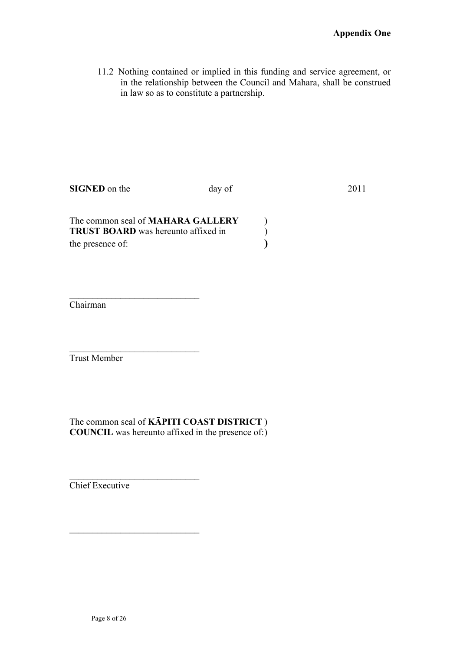11.2 Nothing contained or implied in this funding and service agreement, or in the relationship between the Council and Mahara, shall be construed in law so as to constitute a partnership.

**SIGNED** on the day of 2011

| The common seal of <b>MAHARA GALLERY</b>   |  |
|--------------------------------------------|--|
| <b>TRUST BOARD</b> was hereunto affixed in |  |
| the presence of:                           |  |

 $\mathcal{L}_\text{max}$ 

 $\mathcal{L}_\text{max}$ 

 $\overline{\phantom{a}}$  , where  $\overline{\phantom{a}}$  , where  $\overline{\phantom{a}}$  , where  $\overline{\phantom{a}}$ 

 $\overline{\phantom{a}}$  , where  $\overline{\phantom{a}}$  , where  $\overline{\phantom{a}}$  , where  $\overline{\phantom{a}}$ 

Chairman

Trust Member

The common seal of **KĀPITI COAST DISTRICT** ) **COUNCIL** was hereunto affixed in the presence of: )

Chief Executive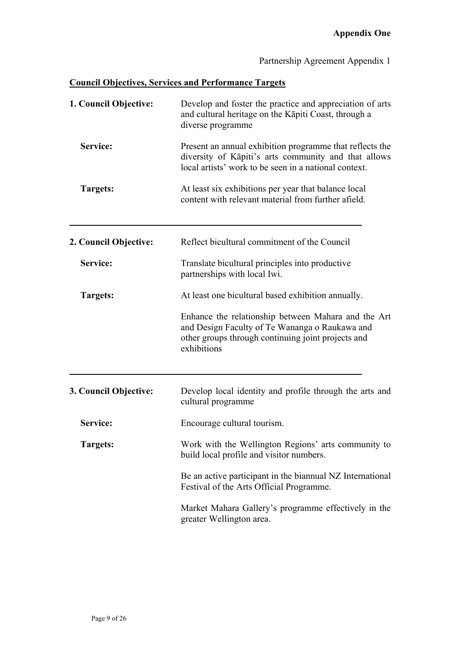# Partnership Agreement Appendix 1

# **Council Objectives, Services and Performance Targets**

| 1. Council Objective: | Develop and foster the practice and appreciation of arts<br>and cultural heritage on the Kāpiti Coast, through a<br>diverse programme<br>Present an annual exhibition programme that reflects the<br>diversity of Kāpiti's arts community and that allows<br>local artists' work to be seen in a national context.<br>At least six exhibitions per year that balance local<br>content with relevant material from further afield. |  |  |
|-----------------------|-----------------------------------------------------------------------------------------------------------------------------------------------------------------------------------------------------------------------------------------------------------------------------------------------------------------------------------------------------------------------------------------------------------------------------------|--|--|
| Service:              |                                                                                                                                                                                                                                                                                                                                                                                                                                   |  |  |
| Targets:              |                                                                                                                                                                                                                                                                                                                                                                                                                                   |  |  |
| 2. Council Objective: | Reflect bicultural commitment of the Council                                                                                                                                                                                                                                                                                                                                                                                      |  |  |
| Service:              | Translate bicultural principles into productive<br>partnerships with local Iwi.                                                                                                                                                                                                                                                                                                                                                   |  |  |
| Targets:              | At least one bicultural based exhibition annually.                                                                                                                                                                                                                                                                                                                                                                                |  |  |
|                       | Enhance the relationship between Mahara and the Art<br>and Design Faculty of Te Wananga o Raukawa and<br>other groups through continuing joint projects and<br>exhibitions                                                                                                                                                                                                                                                        |  |  |
|                       |                                                                                                                                                                                                                                                                                                                                                                                                                                   |  |  |
| 3. Council Objective: | Develop local identity and profile through the arts and<br>cultural programme                                                                                                                                                                                                                                                                                                                                                     |  |  |
| Service:              | Encourage cultural tourism.                                                                                                                                                                                                                                                                                                                                                                                                       |  |  |
| Targets:              | Work with the Wellington Regions' arts community to<br>build local profile and visitor numbers.                                                                                                                                                                                                                                                                                                                                   |  |  |
|                       | Be an active participant in the biannual NZ International<br>Festival of the Arts Official Programme.                                                                                                                                                                                                                                                                                                                             |  |  |
|                       | Market Mahara Gallery's programme effectively in the<br>greater Wellington area.                                                                                                                                                                                                                                                                                                                                                  |  |  |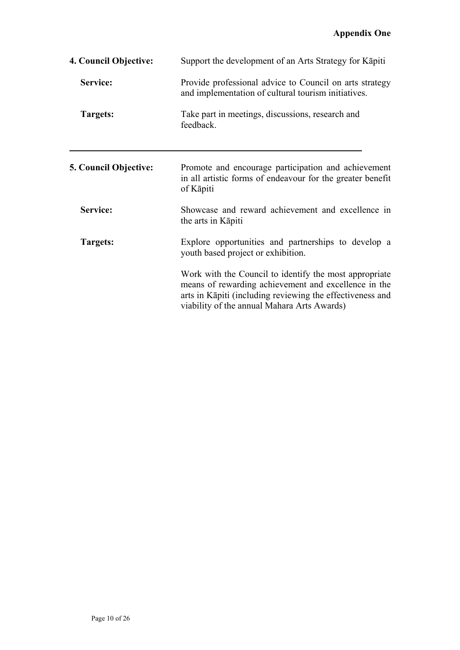| 4. Council Objective:        | Support the development of an Arts Strategy for Kāpiti                                                                                                                                                                     |  |
|------------------------------|----------------------------------------------------------------------------------------------------------------------------------------------------------------------------------------------------------------------------|--|
| Service:                     | Provide professional advice to Council on arts strategy<br>and implementation of cultural tourism initiatives.                                                                                                             |  |
| Targets:                     | Take part in meetings, discussions, research and<br>feedback.                                                                                                                                                              |  |
| <b>5. Council Objective:</b> | Promote and encourage participation and achievement<br>in all artistic forms of endeavour for the greater benefit<br>of Kāpiti                                                                                             |  |
| Service:                     | Showcase and reward achievement and excellence in<br>the arts in Kāpiti                                                                                                                                                    |  |
| <b>Targets:</b>              | Explore opportunities and partnerships to develop a<br>youth based project or exhibition.                                                                                                                                  |  |
|                              | Work with the Council to identify the most appropriate<br>means of rewarding achievement and excellence in the<br>arts in Kāpiti (including reviewing the effectiveness and<br>viability of the annual Mahara Arts Awards) |  |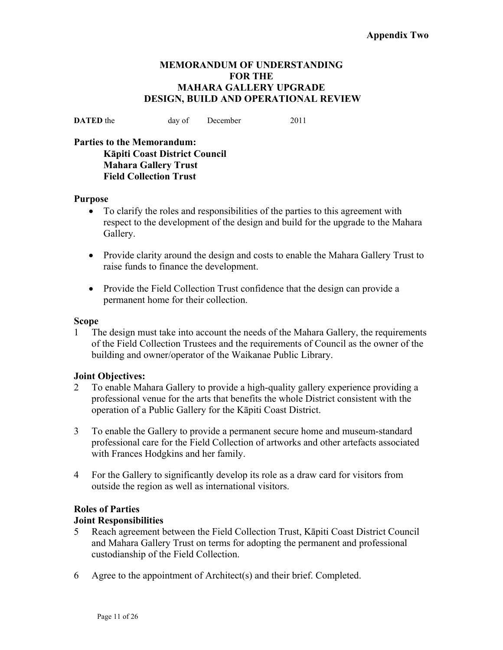#### **MEMORANDUM OF UNDERSTANDING FOR THE MAHARA GALLERY UPGRADE DESIGN, BUILD AND OPERATIONAL REVIEW**

**DATED** the day of December 2011

**Parties to the Memorandum: Kāpiti Coast District Council Mahara Gallery Trust Field Collection Trust** 

#### **Purpose**

- To clarify the roles and responsibilities of the parties to this agreement with respect to the development of the design and build for the upgrade to the Mahara Gallery.
- Provide clarity around the design and costs to enable the Mahara Gallery Trust to raise funds to finance the development.
- Provide the Field Collection Trust confidence that the design can provide a permanent home for their collection.

#### **Scope**

1 The design must take into account the needs of the Mahara Gallery, the requirements of the Field Collection Trustees and the requirements of Council as the owner of the building and owner/operator of the Waikanae Public Library.

#### **Joint Objectives:**

- 2 To enable Mahara Gallery to provide a high-quality gallery experience providing a professional venue for the arts that benefits the whole District consistent with the operation of a Public Gallery for the Kāpiti Coast District.
- 3 To enable the Gallery to provide a permanent secure home and museum-standard professional care for the Field Collection of artworks and other artefacts associated with Frances Hodgkins and her family.
- 4 For the Gallery to significantly develop its role as a draw card for visitors from outside the region as well as international visitors.

#### **Roles of Parties**

#### **Joint Responsibilities**

- 5 Reach agreement between the Field Collection Trust, Kāpiti Coast District Council and Mahara Gallery Trust on terms for adopting the permanent and professional custodianship of the Field Collection.
- 6 Agree to the appointment of Architect(s) and their brief. Completed.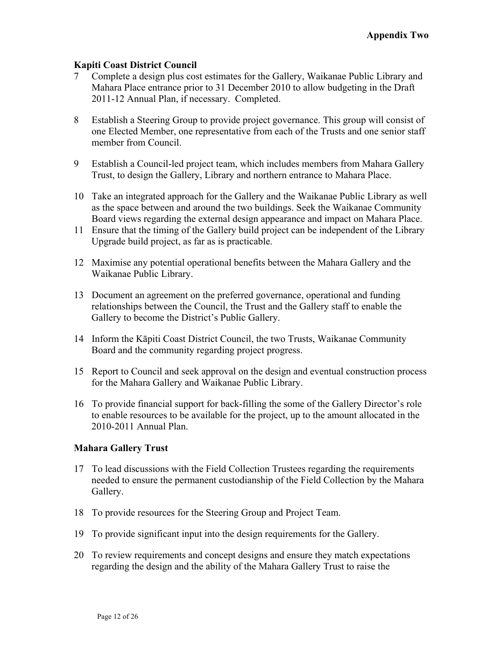#### **Kapiti Coast District Council**

- 7 Complete a design plus cost estimates for the Gallery, Waikanae Public Library and Mahara Place entrance prior to 31 December 2010 to allow budgeting in the Draft 2011-12 Annual Plan, if necessary. Completed.
- 8 Establish a Steering Group to provide project governance. This group will consist of one Elected Member, one representative from each of the Trusts and one senior staff member from Council.
- 9 Establish a Council-led project team, which includes members from Mahara Gallery Trust, to design the Gallery, Library and northern entrance to Mahara Place.
- 10 Take an integrated approach for the Gallery and the Waikanae Public Library as well as the space between and around the two buildings. Seek the Waikanae Community Board views regarding the external design appearance and impact on Mahara Place.
- 11 Ensure that the timing of the Gallery build project can be independent of the Library Upgrade build project, as far as is practicable.
- 12 Maximise any potential operational benefits between the Mahara Gallery and the Waikanae Public Library.
- 13 Document an agreement on the preferred governance, operational and funding relationships between the Council, the Trust and the Gallery staff to enable the Gallery to become the District's Public Gallery.
- 14 Inform the Kāpiti Coast District Council, the two Trusts, Waikanae Community Board and the community regarding project progress.
- 15 Report to Council and seek approval on the design and eventual construction process for the Mahara Gallery and Waikanae Public Library.
- 16 To provide financial support for back-filling the some of the Gallery Director's role to enable resources to be available for the project, up to the amount allocated in the 2010-2011 Annual Plan.

#### **Mahara Gallery Trust**

- 17 To lead discussions with the Field Collection Trustees regarding the requirements needed to ensure the permanent custodianship of the Field Collection by the Mahara Gallery.
- 18 To provide resources for the Steering Group and Project Team.
- 19 To provide significant input into the design requirements for the Gallery.
- 20 To review requirements and concept designs and ensure they match expectations regarding the design and the ability of the Mahara Gallery Trust to raise the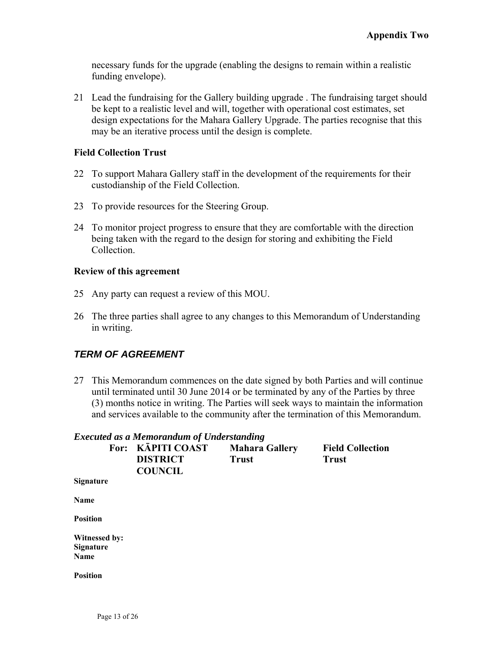necessary funds for the upgrade (enabling the designs to remain within a realistic funding envelope).

21 Lead the fundraising for the Gallery building upgrade . The fundraising target should be kept to a realistic level and will, together with operational cost estimates, set design expectations for the Mahara Gallery Upgrade. The parties recognise that this may be an iterative process until the design is complete.

#### **Field Collection Trust**

- 22 To support Mahara Gallery staff in the development of the requirements for their custodianship of the Field Collection.
- 23 To provide resources for the Steering Group.
- 24 To monitor project progress to ensure that they are comfortable with the direction being taken with the regard to the design for storing and exhibiting the Field Collection.

#### **Review of this agreement**

- 25 Any party can request a review of this MOU.
- 26 The three parties shall agree to any changes to this Memorandum of Understanding in writing.

## *TERM OF AGREEMENT*

27 This Memorandum commences on the date signed by both Parties and will continue until terminated until 30 June 2014 or be terminated by any of the Parties by three (3) months notice in writing. The Parties will seek ways to maintain the information and services available to the community after the termination of this Memorandum.

|                  | <b>Executed as a Memorandum of Understanding</b>       |                                       |                                         |
|------------------|--------------------------------------------------------|---------------------------------------|-----------------------------------------|
|                  | For: KĀPITI COAST<br><b>DISTRICT</b><br><b>COUNCIL</b> | <b>Mahara Gallery</b><br><b>Trust</b> | <b>Field Collection</b><br><b>Trust</b> |
| <b>Signature</b> |                                                        |                                       |                                         |
| <b>Name</b>      |                                                        |                                       |                                         |
| Position         |                                                        |                                       |                                         |

**Witnessed by: Signature Name** 

**Position**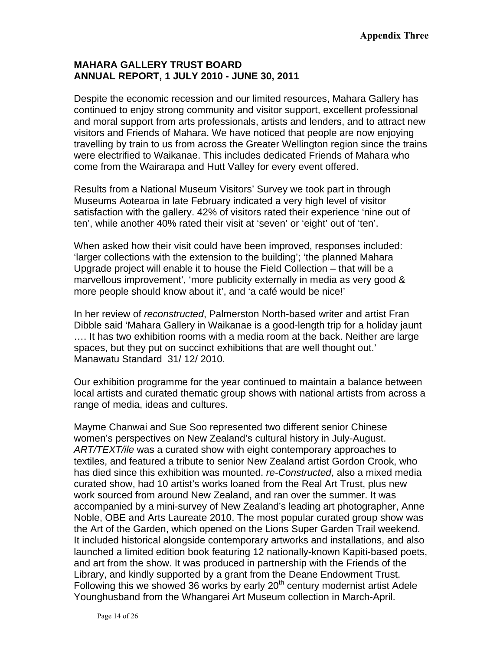## **MAHARA GALLERY TRUST BOARD ANNUAL REPORT, 1 JULY 2010 - JUNE 30, 2011**

Despite the economic recession and our limited resources, Mahara Gallery has continued to enjoy strong community and visitor support, excellent professional and moral support from arts professionals, artists and lenders, and to attract new visitors and Friends of Mahara. We have noticed that people are now enjoying travelling by train to us from across the Greater Wellington region since the trains were electrified to Waikanae. This includes dedicated Friends of Mahara who come from the Wairarapa and Hutt Valley for every event offered.

Results from a National Museum Visitors' Survey we took part in through Museums Aotearoa in late February indicated a very high level of visitor satisfaction with the gallery. 42% of visitors rated their experience 'nine out of ten', while another 40% rated their visit at 'seven' or 'eight' out of 'ten'.

When asked how their visit could have been improved, responses included: 'larger collections with the extension to the building'; 'the planned Mahara Upgrade project will enable it to house the Field Collection – that will be a marvellous improvement', 'more publicity externally in media as very good & more people should know about it', and 'a café would be nice!'

In her review of *reconstructed*, Palmerston North-based writer and artist Fran Dibble said 'Mahara Gallery in Waikanae is a good-length trip for a holiday jaunt …. It has two exhibition rooms with a media room at the back. Neither are large spaces, but they put on succinct exhibitions that are well thought out.' Manawatu Standard 31/ 12/ 2010.

Our exhibition programme for the year continued to maintain a balance between local artists and curated thematic group shows with national artists from across a range of media, ideas and cultures.

Mayme Chanwai and Sue Soo represented two different senior Chinese women's perspectives on New Zealand's cultural history in July-August. *ART/TEXT/ile* was a curated show with eight contemporary approaches to textiles, and featured a tribute to senior New Zealand artist Gordon Crook, who has died since this exhibition was mounted. *re-Constructed*, also a mixed media curated show, had 10 artist's works loaned from the Real Art Trust, plus new work sourced from around New Zealand, and ran over the summer. It was accompanied by a mini-survey of New Zealand's leading art photographer, Anne Noble, OBE and Arts Laureate 2010. The most popular curated group show was the Art of the Garden, which opened on the Lions Super Garden Trail weekend. It included historical alongside contemporary artworks and installations, and also launched a limited edition book featuring 12 nationally-known Kapiti-based poets, and art from the show. It was produced in partnership with the Friends of the Library, and kindly supported by a grant from the Deane Endowment Trust. Following this we showed 36 works by early  $20<sup>th</sup>$  century modernist artist Adele Younghusband from the Whangarei Art Museum collection in March-April.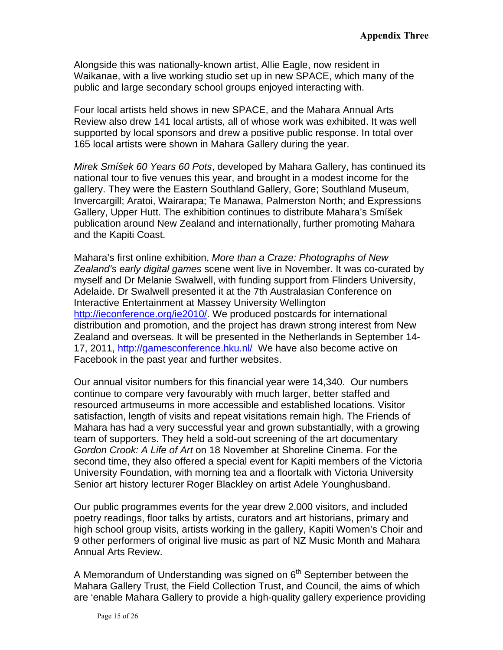Alongside this was nationally-known artist, Allie Eagle, now resident in Waikanae, with a live working studio set up in new SPACE, which many of the public and large secondary school groups enjoyed interacting with.

Four local artists held shows in new SPACE, and the Mahara Annual Arts Review also drew 141 local artists, all of whose work was exhibited. It was well supported by local sponsors and drew a positive public response. In total over 165 local artists were shown in Mahara Gallery during the year.

*Mirek Smíšek 60 Years 60 Pots*, developed by Mahara Gallery, has continued its national tour to five venues this year, and brought in a modest income for the gallery. They were the Eastern Southland Gallery, Gore; Southland Museum, Invercargill; Aratoi, Wairarapa; Te Manawa, Palmerston North; and Expressions Gallery, Upper Hutt. The exhibition continues to distribute Mahara's Smíšek publication around New Zealand and internationally, further promoting Mahara and the Kapiti Coast.

Mahara's first online exhibition, *More than a Craze: Photographs of New Zealand's early digital games* scene went live in November. It was co-curated by myself and Dr Melanie Swalwell, with funding support from Flinders University, Adelaide. Dr Swalwell presented it at the 7th Australasian Conference on Interactive Entertainment at Massey University Wellington <http://ieconference.org/ie2010/>. We produced postcards for international distribution and promotion, and the project has drawn strong interest from New Zealand and overseas. It will be presented in the Netherlands in September 14- 17, 2011,<http://gamesconference.hku.nl/> We have also become active on Facebook in the past year and further websites.

Our annual visitor numbers for this financial year were 14,340. Our numbers continue to compare very favourably with much larger, better staffed and resourced artmuseums in more accessible and established locations. Visitor satisfaction, length of visits and repeat visitations remain high. The Friends of Mahara has had a very successful year and grown substantially, with a growing team of supporters. They held a sold-out screening of the art documentary *Gordon Crook: A Life of Art* on 18 November at Shoreline Cinema. For the second time, they also offered a special event for Kapiti members of the Victoria University Foundation, with morning tea and a floortalk with Victoria University Senior art history lecturer Roger Blackley on artist Adele Younghusband.

Our public programmes events for the year drew 2,000 visitors, and included poetry readings, floor talks by artists, curators and art historians, primary and high school group visits, artists working in the gallery, Kapiti Women's Choir and 9 other performers of original live music as part of NZ Music Month and Mahara Annual Arts Review.

A Memorandum of Understanding was signed on  $6<sup>th</sup>$  September between the Mahara Gallery Trust, the Field Collection Trust, and Council, the aims of which are 'enable Mahara Gallery to provide a high-quality gallery experience providing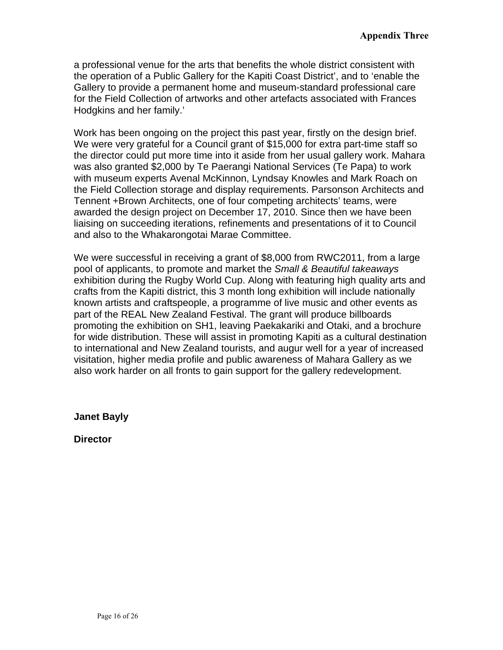a professional venue for the arts that benefits the whole district consistent with the operation of a Public Gallery for the Kapiti Coast District', and to 'enable the Gallery to provide a permanent home and museum-standard professional care for the Field Collection of artworks and other artefacts associated with Frances Hodgkins and her family.'

Work has been ongoing on the project this past year, firstly on the design brief. We were very grateful for a Council grant of \$15,000 for extra part-time staff so the director could put more time into it aside from her usual gallery work. Mahara was also granted \$2,000 by Te Paerangi National Services (Te Papa) to work with museum experts Avenal McKinnon, Lyndsay Knowles and Mark Roach on the Field Collection storage and display requirements. Parsonson Architects and Tennent +Brown Architects, one of four competing architects' teams, were awarded the design project on December 17, 2010. Since then we have been liaising on succeeding iterations, refinements and presentations of it to Council and also to the Whakarongotai Marae Committee.

We were successful in receiving a grant of \$8,000 from RWC2011, from a large pool of applicants, to promote and market the *Small & Beautiful takeaways* exhibition during the Rugby World Cup. Along with featuring high quality arts and crafts from the Kapiti district, this 3 month long exhibition will include nationally known artists and craftspeople, a programme of live music and other events as part of the REAL New Zealand Festival. The grant will produce billboards promoting the exhibition on SH1, leaving Paekakariki and Otaki, and a brochure for wide distribution. These will assist in promoting Kapiti as a cultural destination to international and New Zealand tourists, and augur well for a year of increased visitation, higher media profile and public awareness of Mahara Gallery as we also work harder on all fronts to gain support for the gallery redevelopment.

**Janet Bayly** 

**Director**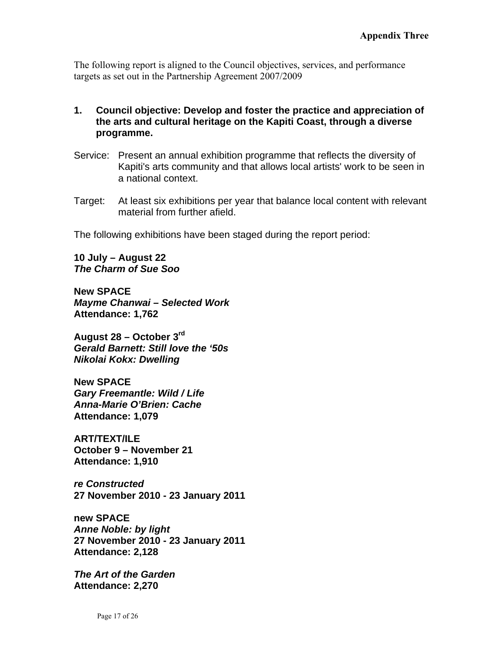The following report is aligned to the Council objectives, services, and performance targets as set out in the Partnership Agreement 2007/2009

- **1. Council objective: Develop and foster the practice and appreciation of the arts and cultural heritage on the Kapiti Coast, through a diverse programme.**
- Service: Present an annual exhibition programme that reflects the diversity of Kapiti's arts community and that allows local artists' work to be seen in a national context.
- Target: At least six exhibitions per year that balance local content with relevant material from further afield.

The following exhibitions have been staged during the report period:

**10 July – August 22**  *The Charm of Sue Soo* 

**New SPACE**  *Mayme Chanwai – Selected Work*  **Attendance: 1,762** 

**August 28 – October 3rd** *Gerald Barnett: Still love the '50s Nikolai Kokx: Dwelling* 

**New SPACE**  *Gary Freemantle: Wild / Life Anna-Marie O'Brien: Cache*  **Attendance: 1,079** 

**ART/TEXT/ILE October 9 – November 21 Attendance: 1,910** 

*re Constructed*  **27 November 2010 - 23 January 2011** 

**new SPACE**  *Anne Noble: by light*  **27 November 2010 - 23 January 2011 Attendance: 2,128** 

*The Art of the Garden*  **Attendance: 2,270**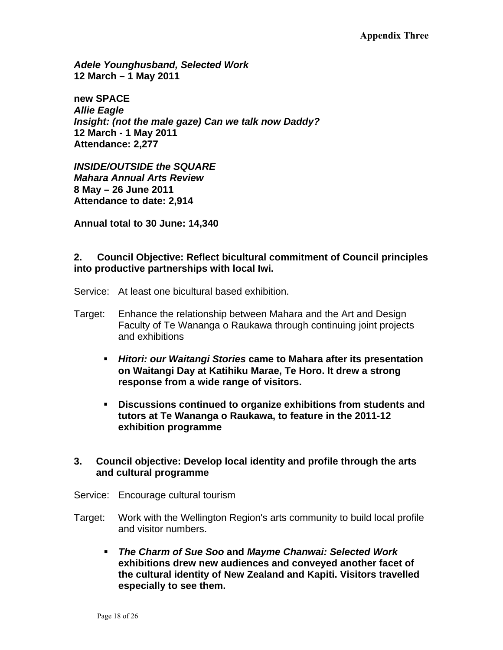*Adele Younghusband, Selected Work*  **12 March – 1 May 2011** 

**new SPACE**  *Allie Eagle Insight: (not the male gaze) Can we talk now Daddy?*  **12 March - 1 May 2011 Attendance: 2,277** 

*INSIDE/OUTSIDE the SQUARE Mahara Annual Arts Review*  **8 May – 26 June 2011 Attendance to date: 2,914** 

**Annual total to 30 June: 14,340** 

## **2. Council Objective: Reflect bicultural commitment of Council principles into productive partnerships with local Iwi.**

Service: At least one bicultural based exhibition.

- Target: Enhance the relationship between Mahara and the Art and Design Faculty of Te Wananga o Raukawa through continuing joint projects and exhibitions
	- *Hitori: our Waitangi Stories* **came to Mahara after its presentation on Waitangi Day at Katihiku Marae, Te Horo. It drew a strong response from a wide range of visitors.**
	- **Discussions continued to organize exhibitions from students and tutors at Te Wananga o Raukawa, to feature in the 2011-12 exhibition programme**

## **3. Council objective: Develop local identity and profile through the arts and cultural programme**

- Service: Encourage cultural tourism
- Target: Work with the Wellington Region's arts community to build local profile and visitor numbers.
	- *The Charm of Sue Soo* **and** *Mayme Chanwai: Selected Work* **exhibitions drew new audiences and conveyed another facet of the cultural identity of New Zealand and Kapiti. Visitors travelled especially to see them.**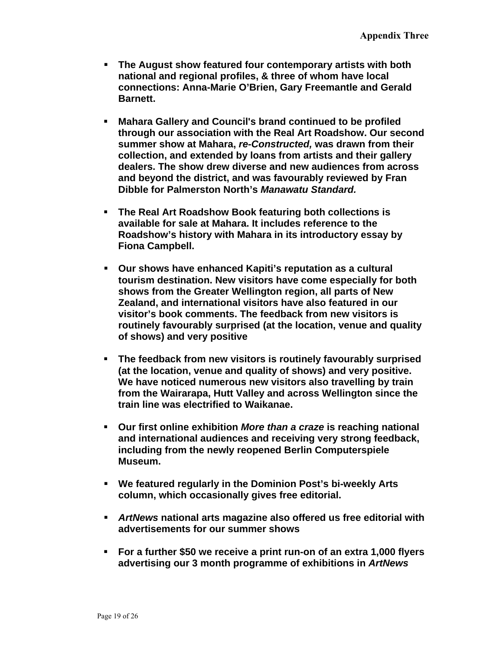- **The August show featured four contemporary artists with both national and regional profiles, & three of whom have local connections: Anna-Marie O'Brien, Gary Freemantle and Gerald Barnett.**
- **Mahara Gallery and Council's brand continued to be profiled through our association with the Real Art Roadshow. Our second summer show at Mahara,** *re-Constructed,* **was drawn from their collection, and extended by loans from artists and their gallery dealers. The show drew diverse and new audiences from across and beyond the district, and was favourably reviewed by Fran Dibble for Palmerston North's** *Manawatu Standard.*
- **The Real Art Roadshow Book featuring both collections is available for sale at Mahara. It includes reference to the Roadshow's history with Mahara in its introductory essay by Fiona Campbell.**
- **Our shows have enhanced Kapiti's reputation as a cultural tourism destination. New visitors have come especially for both shows from the Greater Wellington region, all parts of New Zealand, and international visitors have also featured in our visitor's book comments. The feedback from new visitors is routinely favourably surprised (at the location, venue and quality of shows) and very positive**
- **The feedback from new visitors is routinely favourably surprised (at the location, venue and quality of shows) and very positive. We have noticed numerous new visitors also travelling by train from the Wairarapa, Hutt Valley and across Wellington since the train line was electrified to Waikanae.**
- **Our first online exhibition** *More than a craze* **is reaching national and international audiences and receiving very strong feedback, including from the newly reopened Berlin Computerspiele Museum.**
- **We featured regularly in the Dominion Post's bi-weekly Arts column, which occasionally gives free editorial.**
- *ArtNews* **national arts magazine also offered us free editorial with advertisements for our summer shows**
- **For a further \$50 we receive a print run-on of an extra 1,000 flyers advertising our 3 month programme of exhibitions in** *ArtNews*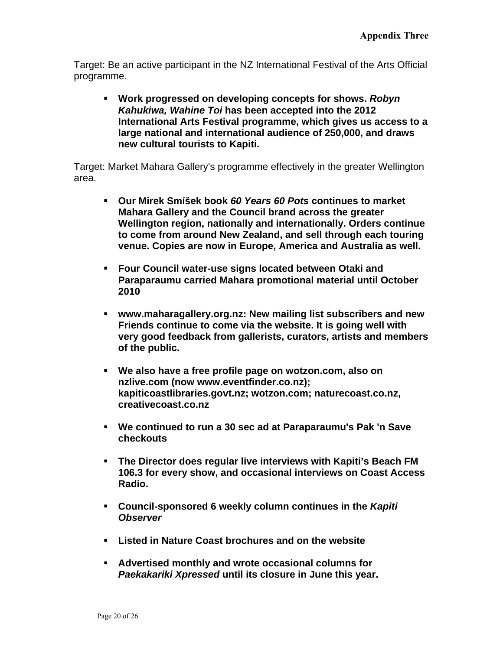Target: Be an active participant in the NZ International Festival of the Arts Official programme.

 **Work progressed on developing concepts for shows.** *Robyn Kahukiwa, Wahine Toi* **has been accepted into the 2012 International Arts Festival programme, which gives us access to a large national and international audience of 250,000, and draws new cultural tourists to Kapiti.**

Target: Market Mahara Gallery's programme effectively in the greater Wellington area.

- **Our Mirek Smíšek book** *60 Years 60 Pots* **continues to market Mahara Gallery and the Council brand across the greater Wellington region, nationally and internationally. Orders continue to come from around New Zealand, and sell through each touring venue. Copies are now in Europe, America and Australia as well.**
- **Four Council water-use signs located between Otaki and Paraparaumu carried Mahara promotional material until October 2010**
- **www.maharagallery.org.nz: New mailing list subscribers and new Friends continue to come via the website. It is going well with very good feedback from gallerists, curators, artists and members of the public.**
- **We also have a free profile page on wotzon.com, also on nzlive.com (now www.eventfinder.co.nz); kapiticoastlibraries.govt.nz; wotzon.com; naturecoast.co.nz, creativecoast.co.nz**
- **We continued to run a 30 sec ad at Paraparaumu's Pak 'n Save checkouts**
- **The Director does regular live interviews with Kapiti's Beach FM 106.3 for every show, and occasional interviews on Coast Access Radio.**
- **Council-sponsored 6 weekly column continues in the** *Kapiti Observer*
- **Listed in Nature Coast brochures and on the website**
- **Advertised monthly and wrote occasional columns for**  *Paekakariki Xpressed* **until its closure in June this year.**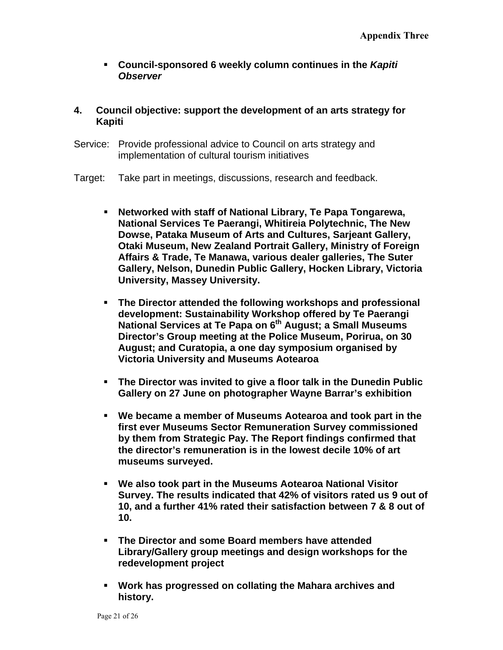- **Council-sponsored 6 weekly column continues in the** *Kapiti Observer*
- **4. Council objective: support the development of an arts strategy for Kapiti**
- Service: Provide professional advice to Council on arts strategy and implementation of cultural tourism initiatives
- Target: Take part in meetings, discussions, research and feedback.
	- **Networked with staff of National Library, Te Papa Tongarewa, National Services Te Paerangi, Whitireia Polytechnic, The New Dowse, Pataka Museum of Arts and Cultures, Sarjeant Gallery, Otaki Museum, New Zealand Portrait Gallery, Ministry of Foreign Affairs & Trade, Te Manawa, various dealer galleries, The Suter Gallery, Nelson, Dunedin Public Gallery, Hocken Library, Victoria University, Massey University.**
	- **The Director attended the following workshops and professional development: Sustainability Workshop offered by Te Paerangi National Services at Te Papa on 6th August; a Small Museums Director's Group meeting at the Police Museum, Porirua, on 30 August; and Curatopia, a one day symposium organised by Victoria University and Museums Aotearoa**
	- **The Director was invited to give a floor talk in the Dunedin Public Gallery on 27 June on photographer Wayne Barrar's exhibition**
	- **We became a member of Museums Aotearoa and took part in the first ever Museums Sector Remuneration Survey commissioned by them from Strategic Pay. The Report findings confirmed that the director's remuneration is in the lowest decile 10% of art museums surveyed.**
	- **We also took part in the Museums Aotearoa National Visitor Survey. The results indicated that 42% of visitors rated us 9 out of 10, and a further 41% rated their satisfaction between 7 & 8 out of 10.**
	- **The Director and some Board members have attended Library/Gallery group meetings and design workshops for the redevelopment project**
	- **Work has progressed on collating the Mahara archives and history.**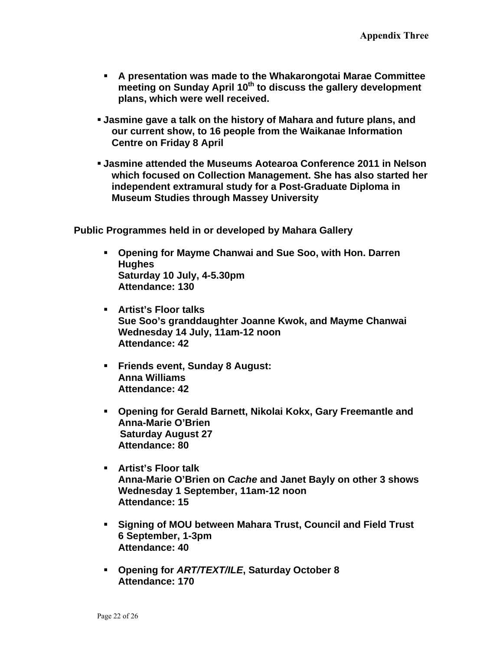- **A presentation was made to the Whakarongotai Marae Committee**  meeting on Sunday April 10<sup>th</sup> to discuss the gallery development **plans, which were well received.**
- **Jasmine gave a talk on the history of Mahara and future plans, and our current show, to 16 people from the Waikanae Information Centre on Friday 8 April**
- **Jasmine attended the Museums Aotearoa Conference 2011 in Nelson which focused on Collection Management. She has also started her independent extramural study for a Post-Graduate Diploma in Museum Studies through Massey University**

**Public Programmes held in or developed by Mahara Gallery**

- **Opening for Mayme Chanwai and Sue Soo, with Hon. Darren Hughes Saturday 10 July, 4-5.30pm Attendance: 130**
- **Artist's Floor talks Sue Soo's granddaughter Joanne Kwok, and Mayme Chanwai Wednesday 14 July, 11am-12 noon Attendance: 42**
- **Friends event, Sunday 8 August: Anna Williams Attendance: 42**
- **Opening for Gerald Barnett, Nikolai Kokx, Gary Freemantle and Anna-Marie O'Brien Saturday August 27 Attendance: 80**
- **Artist's Floor talk Anna-Marie O'Brien on** *Cache* **and Janet Bayly on other 3 shows Wednesday 1 September, 11am-12 noon Attendance: 15**
- **Signing of MOU between Mahara Trust, Council and Field Trust 6 September, 1-3pm Attendance: 40**
- **Opening for** *ART/TEXT/ILE***, Saturday October 8 Attendance: 170**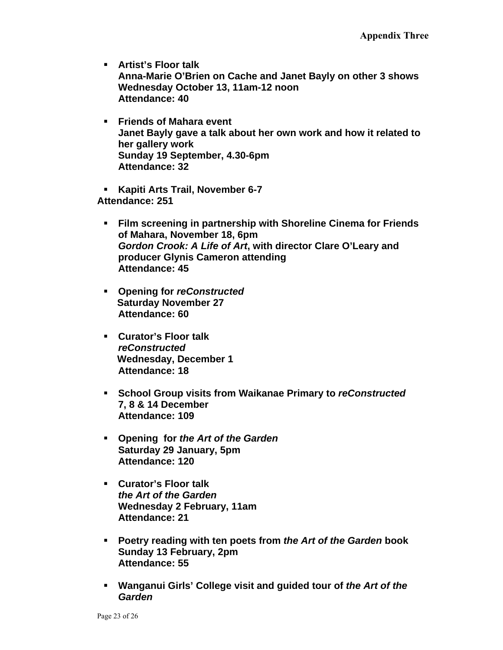- **Artist's Floor talk Anna-Marie O'Brien on Cache and Janet Bayly on other 3 shows Wednesday October 13, 11am-12 noon Attendance: 40**
- **Friends of Mahara event Janet Bayly gave a talk about her own work and how it related to her gallery work Sunday 19 September, 4.30-6pm Attendance: 32**
- **Kapiti Arts Trail, November 6-7 Attendance: 251** 
	- **Film screening in partnership with Shoreline Cinema for Friends of Mahara, November 18, 6pm**  *Gordon Crook: A Life of Art***, with director Clare O'Leary and producer Glynis Cameron attending Attendance: 45**
	- **Opening for** *reConstructed*   **Saturday November 27 Attendance: 60**
	- **Curator's Floor talk**  *reConstructed*  **Wednesday, December 1 Attendance: 18**
	- **School Group visits from Waikanae Primary to** *reConstructed* **7, 8 & 14 December Attendance: 109**
	- **Opening for** *the Art of the Garden* **Saturday 29 January, 5pm Attendance: 120**
	- **Curator's Floor talk**  *the Art of the Garden*  **Wednesday 2 February, 11am Attendance: 21**
	- **Poetry reading with ten poets from** *the Art of the Garden* **book Sunday 13 February, 2pm Attendance: 55**
	- **Wanganui Girls' College visit and guided tour of** *the Art of the Garden*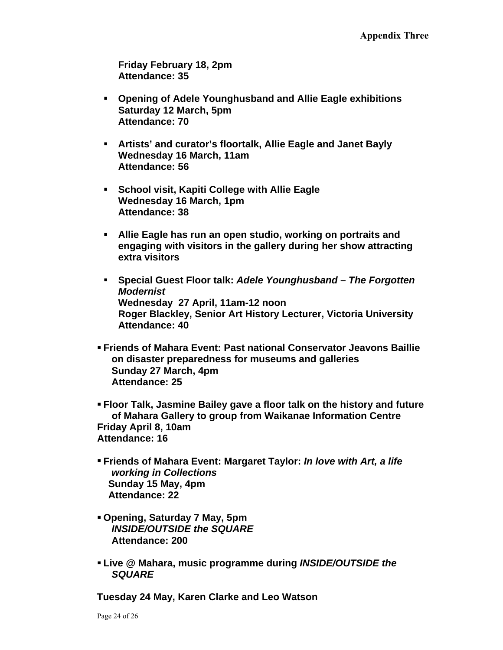**Friday February 18, 2pm Attendance: 35** 

- **Opening of Adele Younghusband and Allie Eagle exhibitions Saturday 12 March, 5pm Attendance: 70**
- **Artists' and curator's floortalk, Allie Eagle and Janet Bayly Wednesday 16 March, 11am Attendance: 56**
- **School visit, Kapiti College with Allie Eagle Wednesday 16 March, 1pm Attendance: 38**
- **Allie Eagle has run an open studio, working on portraits and engaging with visitors in the gallery during her show attracting extra visitors**
- **Special Guest Floor talk:** *Adele Younghusband**The Forgotten Modernist* **Wednesday 27 April, 11am-12 noon Roger Blackley, Senior Art History Lecturer, Victoria University Attendance: 40**
- **Friends of Mahara Event: Past national Conservator Jeavons Baillie on disaster preparedness for museums and galleries Sunday 27 March, 4pm Attendance: 25**
- **Floor Talk, Jasmine Bailey gave a floor talk on the history and future of Mahara Gallery to group from Waikanae Information Centre Friday April 8, 10am Attendance: 16**
- **Friends of Mahara Event: Margaret Taylor:** *In love with Art, a life working in Collections* **Sunday 15 May, 4pm Attendance: 22**
- **Opening, Saturday 7 May, 5pm**  *INSIDE/OUTSIDE the SQUARE* **Attendance: 200**
- **Live @ Mahara, music programme during** *INSIDE/OUTSIDE the SQUARE*

**Tuesday 24 May, Karen Clarke and Leo Watson**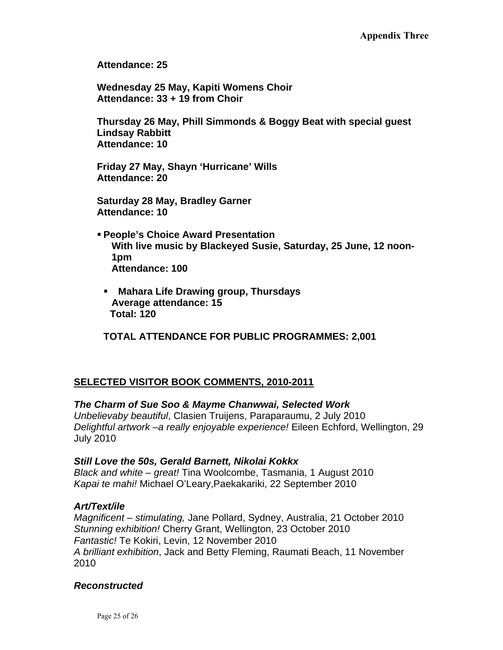**Attendance: 25** 

**Wednesday 25 May, Kapiti Womens Choir Attendance: 33 + 19 from Choir** 

**Thursday 26 May, Phill Simmonds & Boggy Beat with special guest Lindsay Rabbitt Attendance: 10** 

**Friday 27 May, Shayn 'Hurricane' Wills Attendance: 20** 

**Saturday 28 May, Bradley Garner Attendance: 10** 

- **People's Choice Award Presentation With live music by Blackeyed Susie, Saturday, 25 June, 12 noon-1pm Attendance: 100** 
	- **Mahara Life Drawing group, Thursdays Average attendance: 15 Total: 120**

**TOTAL ATTENDANCE FOR PUBLIC PROGRAMMES: 2,001** 

# **SELECTED VISITOR BOOK COMMENTS, 2010-2011**

## *The Charm of Sue Soo & Mayme Chanwwai, Selected Work*

*Unbelievaby beautiful*, Clasien Truijens, Paraparaumu, 2 July 2010 *Delightful artwork –a really enjoyable experience!* Eileen Echford, Wellington, 29 July 2010

#### *Still Love the 50s, Gerald Barnett, Nikolai Kokkx*

*Black and white – great!* Tina Woolcombe, Tasmania, 1 August 2010 *Kapai te mahi!* Michael O'Leary,Paekakariki, 22 September 2010

## *Art/Text/ile*

*Magnificent – stimulating,* Jane Pollard, Sydney, Australia, 21 October 2010 *Stunning exhibition!* Cherry Grant, Wellington, 23 October 2010 *Fantastic!* Te Kokiri, Levin, 12 November 2010 *A brilliant exhibition*, Jack and Betty Fleming, Raumati Beach, 11 November 2010

#### *Reconstructed*